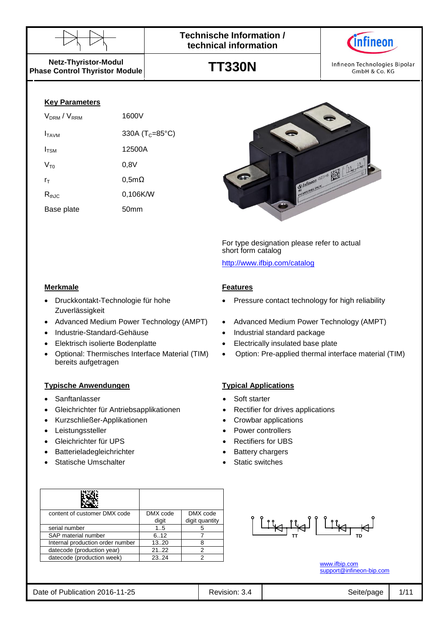



**Netz-Thyristor-Modul Phase Control Thyristor Module**

## **Key Parameters**

| V <sub>DRM</sub> / V <sub>RRM</sub> | 1600V                        |
|-------------------------------------|------------------------------|
| <b>I</b> TAVM                       | 330A ( $T_c = 85^{\circ}C$ ) |
| I <sub>TSM</sub>                    | 12500A                       |
| $V_{\tau_0}$                        | 0,8V                         |
| ľт                                  | $0,5m\Omega$                 |
| $R_{thJC}$                          | 0,106K/W                     |
| Base plate                          | 50mm                         |

# **TT330N**



Rollatineon Grand Mary Library

For type designation please refer to actual short form catalog <http://www.ifbip.com/catalog>

#### **Merkmale Features**

- Druckkontakt-Technologie für hohe **Zuverlässigkeit**
- 
- 
- 
- Optional: Thermisches Interface Material (TIM) bereits aufgetragen

#### **Typische Anwendungen Typical Applications**

- Sanftanlasser Sanftanlasser Soft starter
- Gleichrichter für Antriebsapplikationen Rectifier for drives applications
- Kurzschließer-Applikationen Crowbar applications
- 
- Gleichrichter für UPS Rectifiers for UBS
- Batterieladegleichrichter Battery chargers
- Statische Umschalter **Static Static Static switches**

| content of customer DMX code     | DMX code | DMX code       |
|----------------------------------|----------|----------------|
|                                  | digit    | digit quantity |
| serial number                    | 15       |                |
| SAP material number              | 6.12     |                |
| Internal production order number | 1320     | 8              |
| datecode (production year)       | 2122     | 2              |
| datecode (production week)       | 23.24    | 2              |

- Pressure contact technology for high reliability
- Advanced Medium Power Technology (AMPT) Advanced Medium Power Technology (AMPT)
	- Industrie-Standard-Gehäuse **Industrial standard package**
- Elektrisch isolierte Bodenplatte **by Communist Cleanual** Electrically insulated base plate
	- Option: Pre-applied thermal interface material (TIM)

- 
- 
- 
- Leistungssteller **Controllers Power controllers** 
	-
	-
	-

<u>| TRIL</u><br>| TRILLE

[www.ifbip.com](http://www.ifbip.com/) [support@infineon-bip.com](mailto:support@infineon-bip.com)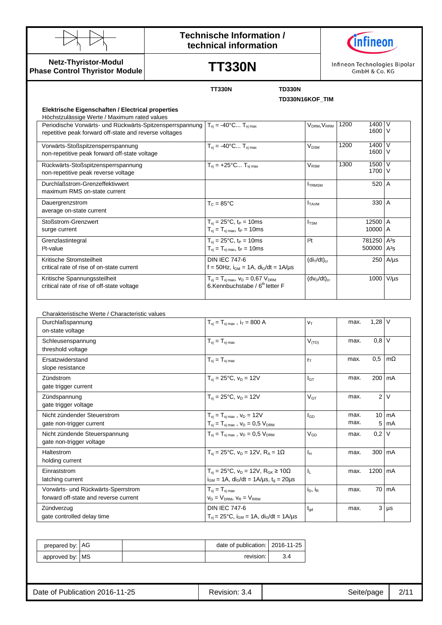

**Netz-Thyristor-Modul Phase Control Thyristor Module**

# **Technische Information / technical information**



# **TT330N**

Infineon Technologies Bipolar GmbH & Co. KG

|                                                                                                                    | <b>TT330N</b>                                                                                                            | <b>TD330N</b><br>TD330N16KOF_TIM    |              |                  |                         |
|--------------------------------------------------------------------------------------------------------------------|--------------------------------------------------------------------------------------------------------------------------|-------------------------------------|--------------|------------------|-------------------------|
| Elektrische Eigenschaften / Electrical properties                                                                  |                                                                                                                          |                                     |              |                  |                         |
| Höchstzulässige Werte / Maximum rated values                                                                       |                                                                                                                          |                                     |              |                  |                         |
| Periodische Vorwärts- und Rückwärts-Spitzensperrspannung<br>repetitive peak forward off-state and reverse voltages | $T_{vi} = -40^{\circ}C T_{vi max}$                                                                                       | V <sub>DRM</sub> , V <sub>RRM</sub> | 1200         | 1400 V<br>1600 V |                         |
| Vorwärts-Stoßspitzensperrspannung<br>non-repetitive peak forward off-state voltage                                 | $T_{vi} = -40^{\circ}C T_{vi max}$                                                                                       | <b>V</b> <sub>DSM</sub>             | 1200         | 1400 V<br>1600 V |                         |
| Rückwärts-Stoßspitzensperrspannung<br>non-repetitive peak reverse voltage                                          | $T_{vi}$ = +25°C $T_{vi \, max}$                                                                                         | V <sub>RSM</sub>                    | 1300         | 1500 V<br>1700   | V                       |
| Durchlaßstrom-Grenzeffektivwert<br>maximum RMS on-state current                                                    |                                                                                                                          | <b>ITRMSM</b>                       |              | 520 A            |                         |
| Dauergrenzstrom<br>average on-state current                                                                        | $T_c = 85^{\circ}$ C                                                                                                     | <b>ITAVM</b>                        |              | 330              | A                       |
| Stoßstrom-Grenzwert<br>surge current                                                                               | $T_{vi} = 25^{\circ}C$ , t <sub>P</sub> = 10ms<br>$T_{vj} = T_{vj \, max}$ , $t_P = 10 \, \text{ms}$                     | <b>I</b> <sub>TSM</sub>             |              | 12500<br>10000   | A<br>A                  |
| Grenzlastintegral<br>$l2t-value$                                                                                   | $T_{vi} = 25^{\circ}C$ , t <sub>P</sub> = 10ms<br>$T_{vi} = T_{vi \, max}$ , t <sub>P</sub> = 10ms                       | $ ^{2}t $                           |              | 781250<br>500000 | $A^2S$<br>$A^2S$        |
| Kritische Stromsteilheit<br>critical rate of rise of on-state current                                              | <b>DIN IEC 747-6</b><br>f = 50Hz, $i_{GM}$ = 1A, $di_G/dt = 1A/\mu s$                                                    | $(diT/dt)cr$                        |              | 250              | $A/\mu s$               |
| Kritische Spannungssteilheit<br>critical rate of rise of off-state voltage                                         | $T_{\rm vj} = T_{\rm vj \, max}$ , $V_{\rm D} = 0.67$ $V_{\rm DRM}$<br>6.Kennbuchstabe / 6 <sup>th</sup> letter F        | $(dv_D/dt)_{cr}$                    |              | 1000             | $V/\mu s$               |
| Charakteristische Werte / Characteristic values                                                                    |                                                                                                                          |                                     |              |                  |                         |
| Durchlaßspannung<br>on-state voltage                                                                               | $T_{vi} = T_{vi \, max}$ , $i_T = 800 \, \text{A}$                                                                       | $V_T$                               | max.         | $1,28$ V         |                         |
| Schleusenspannung<br>threshold voltage                                                                             | $T_{vi} = T_{vi \, max}$                                                                                                 | $V_{(TO)}$                          | max.         | 0,8              | V                       |
| Ersatzwiderstand<br>slope resistance                                                                               | $T_{vi} = T_{vi \, max}$                                                                                                 | $r_T$                               | max.         | 0,5              | $m\Omega$               |
| Zündstrom<br>gate trigger current                                                                                  | $T_{vi} = 25^{\circ}C$ , $v_D = 12V$                                                                                     | $I_{\text{GT}}$                     | max.         | 200              | mA                      |
| Zündspannung<br>gate trigger voltage                                                                               | $T_{vi} = 25^{\circ}C$ , $v_D = 12V$                                                                                     | $V_{GT}$                            | max.         | 2                | V                       |
| Nicht zündender Steuerstrom<br>gate non-trigger current                                                            | $T_{vj} = T_{vj \, max}$ , $v_D = 12V$<br>$T_{vi} = T_{vj \, max}$ , $V_D = 0.5 V_{DRM}$                                 | $I_{GD}$                            | max.<br>max. | 5                | $10 \, \text{mA}$<br>mA |
| Nicht zündende Steuerspannung<br>gate non-trigger voltage                                                          | $T_{\rm vj} = T_{\rm vj \, max}$ , $v_D = 0.5$ $V_{DRM}$                                                                 | $V_{GD}$                            | max.         | 0,2              | V                       |
| Haltestrom<br>holding current                                                                                      | $T_{vi} = 25^{\circ}C$ , $v_D = 12V$ , $R_A = 1\Omega$                                                                   | Iн                                  | max.         | 300              | mA                      |
| Einraststrom<br>latching current                                                                                   | $T_{vi}$ = 25°C, $V_D$ = 12V, R <sub>GK</sub> ≥ 10Ω<br>$i_{GM}$ = 1A, di <sub>G</sub> /dt = 1A/µs, t <sub>g</sub> = 20µs | $\mathsf{I}_{\mathsf{L}}$           | max.         | 1200             | mA                      |
| Vorwärts- und Rückwärts-Sperrstrom<br>forward off-state and reverse current                                        | $T_{vi} = T_{vi \, max}$<br>$V_D = V_{DRM}$ , $V_R = V_{RRM}$                                                            | i <sub>D</sub> , i <sub>R</sub>     | max.         | 70               | mA                      |
| Zündverzug<br>gate controlled delay time                                                                           | <b>DIN IEC 747-6</b><br>$T_{\rm{vj}}$ = 25°C, $i_{\rm{GM}}$ = 1A, $di_{\rm{G}}/dt$ = 1A/ $\mu$ s                         | $t_{\text{gd}}$                     | max.         | 3 <sup>1</sup>   | $\mu s$                 |

| prepared by: AG   |  | date of publication:   2016-11-25 |  |
|-------------------|--|-----------------------------------|--|
| approved by:   MS |  | revision:                         |  |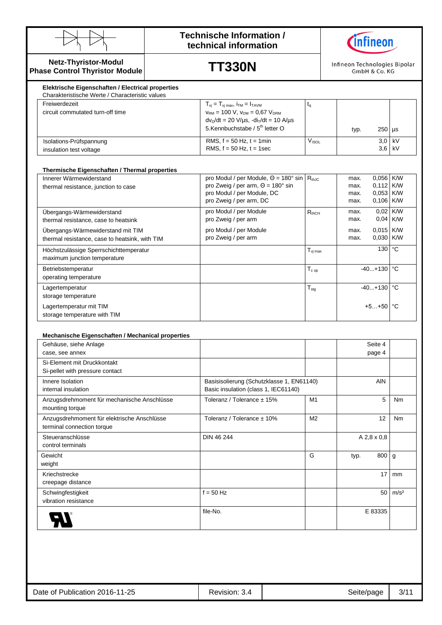

## **Technische Information / technical information**



### **Netz-Thyristor-Modul Phase Control Thyristor Module**

**TT330N**

Infineon Technologies Bipolar GmbH & Co. KG

| Freiwerdezeit                    | $T_{vi} = T_{vi \text{ max}}$ , $i_{TM} = I_{TAVM}$                          |                          |      |               |  |
|----------------------------------|------------------------------------------------------------------------------|--------------------------|------|---------------|--|
| circuit commutated turn-off time | $V_{\text{RM}}$ = 100 V, $V_{\text{DM}}$ = 0,67 $V_{\text{DRM}}$             |                          |      |               |  |
|                                  | $dv_D/dt = 20 \text{ V/}\mu\text{s}$ , $-di_T/dt = 10 \text{ A/}\mu\text{s}$ |                          |      |               |  |
|                                  | 5.Kennbuchstabe / 5 <sup>th</sup> letter O                                   |                          | typ. | $250$ $\mu s$ |  |
| Isolations-Prüfspannung          | RMS, $f = 50$ Hz, $t = 1$ min                                                | <b>V</b> <sub>ISOL</sub> |      | $3.0$ kV      |  |
| insulation test voltage          | RMS, $f = 50$ Hz, $t = 1$ sec                                                |                          |      | $3.6$ kV      |  |

#### **Thermische Eigenschaften / Thermal properties**

| Innerer Wärmewiderstand<br>thermal resistance, junction to case                     | pro Modul / per Module, $\Theta = 180^\circ \sin   R_{thJC}$<br>pro Zweig / per arm, $\Theta = 180^\circ$ sin<br>pro Modul / per Module, DC<br>pro Zweig / per arm, DC |                     | max.<br>max.<br>max.<br>max. | 0,056 K/W<br>0,112 K/W<br>$0.053$ K/W<br>$0,106$ K/W |              |
|-------------------------------------------------------------------------------------|------------------------------------------------------------------------------------------------------------------------------------------------------------------------|---------------------|------------------------------|------------------------------------------------------|--------------|
| Übergangs-Wärmewiderstand<br>thermal resistance, case to heatsink                   | pro Modul / per Module<br>pro Zweig / per arm                                                                                                                          | $R_{thCH}$          | max.<br>max.                 | $0.02$ K/W<br>$0.04$ K/W                             |              |
| Übergangs-Wärmewiderstand mit TIM<br>thermal resistance, case to heatsink, with TIM | pro Modul / per Module<br>pro Zweig / per arm                                                                                                                          |                     | max.<br>max.                 | $0.015$ K/W<br>0,030 K/W                             |              |
| Höchstzulässige Sperrschichttemperatur<br>maximum junction temperature              |                                                                                                                                                                        | $T_{\rm vj \, max}$ |                              | 130                                                  | $^{\circ}$ C |
| Betriebstemperatur<br>operating temperature                                         |                                                                                                                                                                        | $T_{c \text{ op}}$  |                              | $-40+130$ °C                                         |              |
| Lagertemperatur<br>storage temperature                                              |                                                                                                                                                                        | $T_{\text{stg}}$    |                              | $-40+130$ $^{\circ}$ C                               |              |
| Lagertemperatur mit TIM<br>storage temperature with TIM                             |                                                                                                                                                                        |                     |                              | $+5+50$ $^{\circ}$ C                                 |              |

#### **Mechanische Eigenschaften / Mechanical properties**

| Gehäuse, siehe Anlage                       |                                           |                |             | Seite 4    |                  |
|---------------------------------------------|-------------------------------------------|----------------|-------------|------------|------------------|
| case, see annex                             |                                           |                |             | page 4     |                  |
| Si-Element mit Druckkontakt                 |                                           |                |             |            |                  |
| Si-pellet with pressure contact             |                                           |                |             |            |                  |
| Innere Isolation                            | Basisisolierung (Schutzklasse 1, EN61140) |                |             | <b>AIN</b> |                  |
| internal insulation                         | Basic insulation (class 1, IEC61140)      |                |             |            |                  |
| Anzugsdrehmoment für mechanische Anschlüsse | Toleranz / Tolerance ± 15%                | M1             |             | 5          | Nm               |
| mounting torque                             |                                           |                |             |            |                  |
| Anzugsdrehmoment für elektrische Anschlüsse | Toleranz / Tolerance ± 10%                | M <sub>2</sub> |             | 12         | Nm               |
| terminal connection torque                  |                                           |                |             |            |                  |
| Steueranschlüsse                            | DIN 46 244                                |                | A 2,8 x 0,8 |            |                  |
| control terminals                           |                                           |                |             |            |                  |
| Gewicht                                     |                                           | G              | typ.        | 800        | g                |
| weight                                      |                                           |                |             |            |                  |
| Kriechstrecke                               |                                           |                |             | 17         | mm               |
| creepage distance                           |                                           |                |             |            |                  |
| Schwingfestigkeit                           | $f = 50$ Hz                               |                |             | 50         | m/s <sup>2</sup> |
| vibration resistance                        |                                           |                |             |            |                  |
|                                             | file-No.                                  |                |             | E 83335    |                  |
|                                             |                                           |                |             |            |                  |
|                                             |                                           |                |             |            |                  |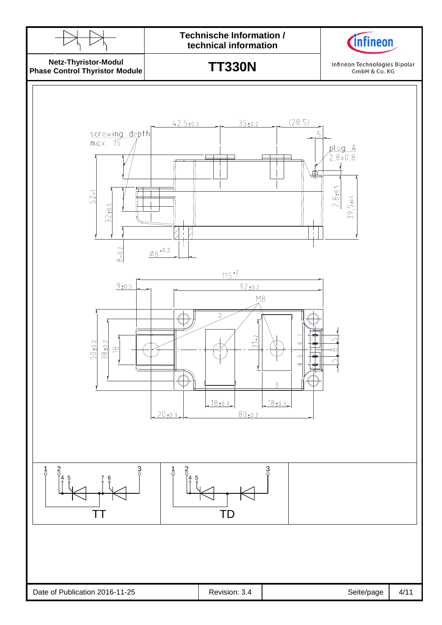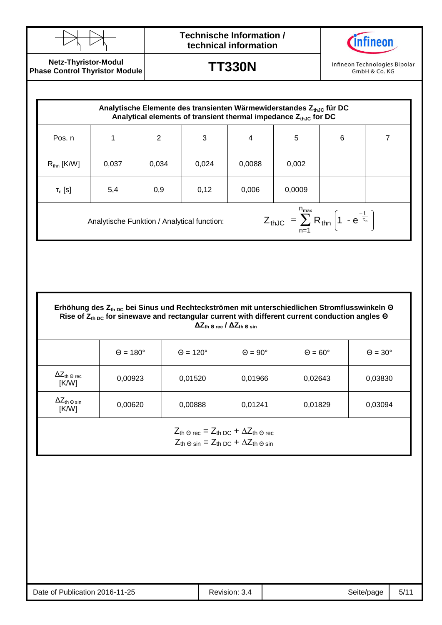

# **Technische Information / technical information**



**Netz-Thyristor-Modul Phase Control Thyristor Module**

**TT330N**

Infineon Technologies Bipolar GmbH & Co. KG

| Analytische Elemente des transienten Wärmewiderstandes $Z_{th,lc}$ für DC<br>Analytical elements of transient thermal impedance Z <sub>thJC</sub> for DC |       |       |       |        |        |   |  |
|----------------------------------------------------------------------------------------------------------------------------------------------------------|-------|-------|-------|--------|--------|---|--|
| Pos. n                                                                                                                                                   |       | 2     | 3     | 4      | 5      | 6 |  |
| $R_{\text{thn}}$ [K/W]                                                                                                                                   | 0,037 | 0,034 | 0,024 | 0,0088 | 0,002  |   |  |
| $T_n$ [S]                                                                                                                                                | 5,4   | 0,9   | 0,12  | 0,006  | 0,0009 |   |  |
| $Z_{thJC} = \sum_{n=1}^{n_{max}} R_{thn} \left( 1 - e^{\frac{-t}{\tau_n}} \right)$<br>Analytische Funktion / Analytical function:                        |       |       |       |        |        |   |  |

**Erhöhung des Zth DC bei Sinus und Rechteckströmen mit unterschiedlichen Stromflusswinkeln Θ Rise of Zth DC for sinewave and rectangular current with different current conduction angles Θ ΔZth Θ rec / ΔZth Θ sin**

|                                                         | $\Theta = 180^\circ$ | $\Theta = 120^\circ$ | $\Theta = 90^\circ$ | $\Theta = 60^\circ$ | $\Theta = 30^\circ$ |
|---------------------------------------------------------|----------------------|----------------------|---------------------|---------------------|---------------------|
| $\Delta Z_{\text{th} \; \Theta \; \text{rec}}$<br>[K/W] | 0,00923              | 0,01520              | 0,01966             | 0,02643             | 0,03830             |
| $\Delta Z_{\text{th}}$ $_{\odot}$ sin<br>[K/W]          | 0,00620              | 0,00888              | 0,01241             | 0,01829             | 0,03094             |

 $Z_{\text{th}} \odot \text{rec} = Z_{\text{th DC}} + \Delta Z_{\text{th}} \odot \text{rec}$  $Z_{th\,\Theta\,\text{sin}} = Z_{th\,\text{DC}} + \Delta Z_{th\,\Theta\,\text{sin}}$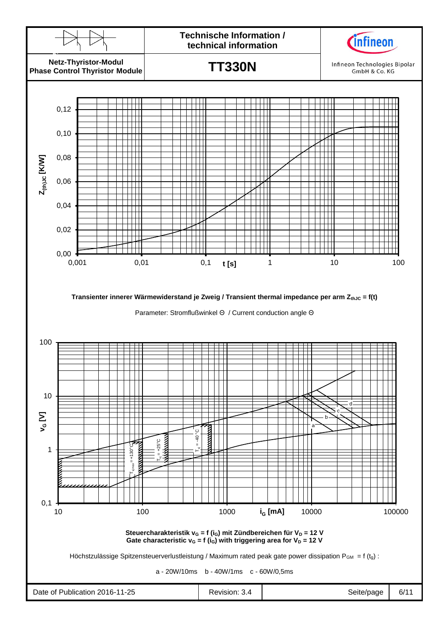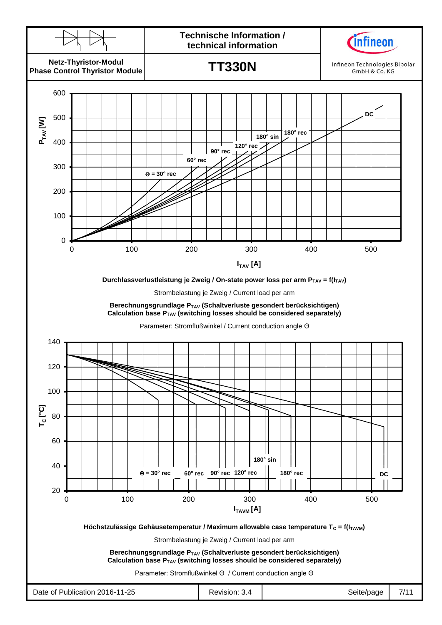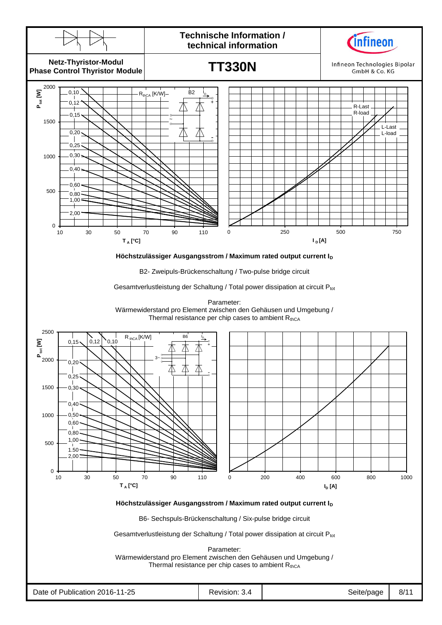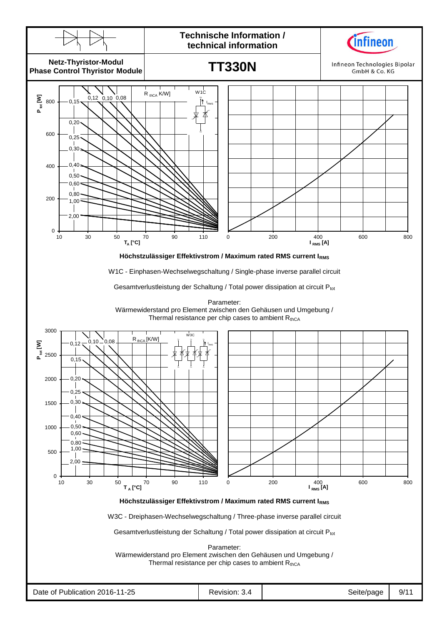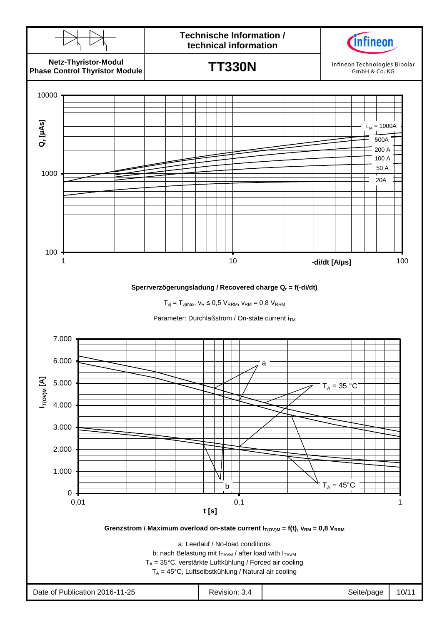